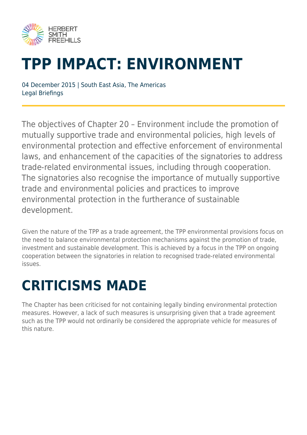

# **TPP IMPACT: ENVIRONMENT**

04 December 2015 | South East Asia, The Americas Legal Briefings

The objectives of Chapter 20 – Environment include the promotion of mutually supportive trade and environmental policies, high levels of environmental protection and effective enforcement of environmental laws, and enhancement of the capacities of the signatories to address trade-related environmental issues, including through cooperation. The signatories also recognise the importance of mutually supportive trade and environmental policies and practices to improve environmental protection in the furtherance of sustainable development.

Given the nature of the TPP as a trade agreement, the TPP environmental provisions focus on the need to balance environmental protection mechanisms against the promotion of trade, investment and sustainable development. This is achieved by a focus in the TPP on ongoing cooperation between the signatories in relation to recognised trade-related environmental issues.

## **CRITICISMS MADE**

The Chapter has been criticised for not containing legally binding environmental protection measures. However, a lack of such measures is unsurprising given that a trade agreement such as the TPP would not ordinarily be considered the appropriate vehicle for measures of this nature.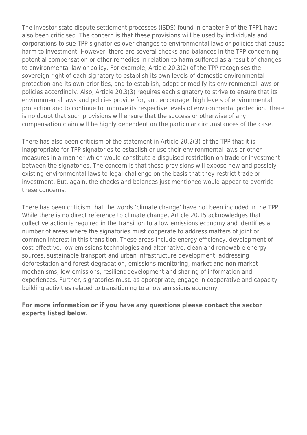The investor-state dispute settlement processes (ISDS) found in chapter 9 of the TPP1 have also been criticised. The concern is that these provisions will be used by individuals and corporations to sue TPP signatories over changes to environmental laws or policies that cause harm to investment. However, there are several checks and balances in the TPP concerning potential compensation or other remedies in relation to harm suffered as a result of changes to environmental law or policy. For example, Article 20.3(2) of the TPP recognises the sovereign right of each signatory to establish its own levels of domestic environmental protection and its own priorities, and to establish, adopt or modify its environmental laws or policies accordingly. Also, Article 20.3(3) requires each signatory to strive to ensure that its environmental laws and policies provide for, and encourage, high levels of environmental protection and to continue to improve its respective levels of environmental protection. There is no doubt that such provisions will ensure that the success or otherwise of any compensation claim will be highly dependent on the particular circumstances of the case.

There has also been criticism of the statement in Article 20.2(3) of the TPP that it is inappropriate for TPP signatories to establish or use their environmental laws or other measures in a manner which would constitute a disguised restriction on trade or investment between the signatories. The concern is that these provisions will expose new and possibly existing environmental laws to legal challenge on the basis that they restrict trade or investment. But, again, the checks and balances just mentioned would appear to override these concerns.

There has been criticism that the words 'climate change' have not been included in the TPP. While there is no direct reference to climate change, Article 20.15 acknowledges that collective action is required in the transition to a low emissions economy and identifies a number of areas where the signatories must cooperate to address matters of joint or common interest in this transition. These areas include energy efficiency, development of cost-effective, low emissions technologies and alternative, clean and renewable energy sources, sustainable transport and urban infrastructure development, addressing deforestation and forest degradation, emissions monitoring, market and non-market mechanisms, low-emissions, resilient development and sharing of information and experiences. Further, signatories must, as appropriate, engage in cooperative and capacitybuilding activities related to transitioning to a low emissions economy.

#### **For more information or if you have any questions please contact the sector experts listed below.**